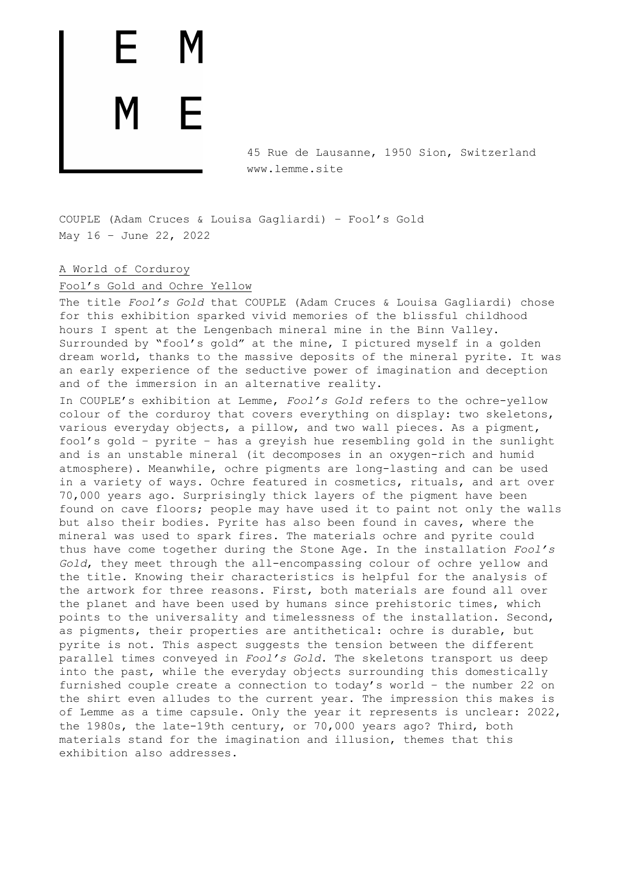45 Rue de Lausanne, 1950 Sion, Switzerland [www.lemme.site](http://www.lemme.site)

COUPLE (Adam Cruces & Louisa Gagliardi) – Fool's Gold May 16 – June 22, 2022

A World of Corduroy

Fool's Gold and Ochre Yellow

The title *Fool's Gold* that COUPLE (Adam Cruces & Louisa Gagliardi) chose for this exhibition sparked vivid memories of the blissful childhood hours I spent at the Lengenbach mineral mine in the Binn Valley. Surrounded by "fool's gold" at the mine, I pictured myself in a golden dream world, thanks to the massive deposits of the mineral pyrite. It was an early experience of the seductive power of imagination and deception and of the immersion in an alternative reality.

In COUPLE's exhibition at Lemme, *Fool's Gold* refers to the ochre-yellow colour of the corduroy that covers everything on display: two skeletons, various everyday objects, a pillow, and two wall pieces. As a pigment, fool's gold – pyrite – has a greyish hue resembling gold in the sunlight and is an unstable mineral (it decomposes in an oxygen-rich and humid atmosphere). Meanwhile, ochre pigments are long-lasting and can be used in a variety of ways. Ochre featured in cosmetics, rituals, and art over 70,000 years ago. Surprisingly thick layers of the pigment have been found on cave floors; people may have used it to paint not only the walls but also their bodies. Pyrite has also been found in caves, where the mineral was used to spark fires. The materials ochre and pyrite could thus have come together during the Stone Age. In the installation *Fool's Gold*, they meet through the all-encompassing colour of ochre yellow and the title. Knowing their characteristics is helpful for the analysis of the artwork for three reasons. First, both materials are found all over the planet and have been used by humans since prehistoric times, which points to the universality and timelessness of the installation. Second, as pigments, their properties are antithetical: ochre is durable, but pyrite is not. This aspect suggests the tension between the different parallel times conveyed in *Fool's Gold*. The skeletons transport us deep into the past, while the everyday objects surrounding this domestically furnished couple create a connection to today's world – the number 22 on the shirt even alludes to the current year. The impression this makes is of Lemme as a time capsule. Only the year it represents is unclear: 2022, the 1980s, the late-19th century, or 70,000 years ago? Third, both materials stand for the imagination and illusion, themes that this exhibition also addresses.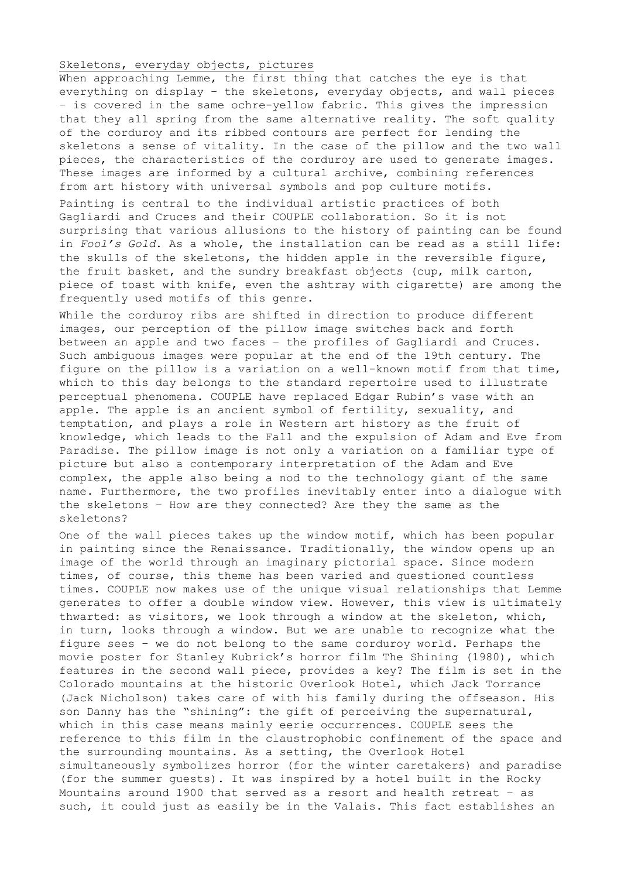## Skeletons, everyday objects, pictures

When approaching Lemme, the first thing that catches the eye is that everything on display – the skeletons, everyday objects, and wall pieces – is covered in the same ochre-yellow fabric. This gives the impression that they all spring from the same alternative reality. The soft quality of the corduroy and its ribbed contours are perfect for lending the skeletons a sense of vitality. In the case of the pillow and the two wall pieces, the characteristics of the corduroy are used to generate images. These images are informed by a cultural archive, combining references from art history with universal symbols and pop culture motifs.

Painting is central to the individual artistic practices of both Gagliardi and Cruces and their COUPLE collaboration. So it is not surprising that various allusions to the history of painting can be found in *Fool's Gold*. As a whole, the installation can be read as a still life: the skulls of the skeletons, the hidden apple in the reversible figure, the fruit basket, and the sundry breakfast objects (cup, milk carton, piece of toast with knife, even the ashtray with cigarette) are among the frequently used motifs of this genre.

While the corduroy ribs are shifted in direction to produce different images, our perception of the pillow image switches back and forth between an apple and two faces – the profiles of Gagliardi and Cruces. Such ambiguous images were popular at the end of the 19th century. The figure on the pillow is a variation on a well-known motif from that time, which to this day belongs to the standard repertoire used to illustrate perceptual phenomena. COUPLE have replaced Edgar Rubin's vase with an apple. The apple is an ancient symbol of fertility, sexuality, and temptation, and plays a role in Western art history as the fruit of knowledge, which leads to the Fall and the expulsion of Adam and Eve from Paradise. The pillow image is not only a variation on a familiar type of picture but also a contemporary interpretation of the Adam and Eve complex, the apple also being a nod to the technology giant of the same name. Furthermore, the two profiles inevitably enter into a dialogue with the skeletons – How are they connected? Are they the same as the skeletons?

One of the wall pieces takes up the window motif, which has been popular in painting since the Renaissance. Traditionally, the window opens up an image of the world through an imaginary pictorial space. Since modern times, of course, this theme has been varied and questioned countless times. COUPLE now makes use of the unique visual relationships that Lemme generates to offer a double window view. However, this view is ultimately thwarted: as visitors, we look through a window at the skeleton, which, in turn, looks through a window. But we are unable to recognize what the figure sees – we do not belong to the same corduroy world. Perhaps the movie poster for Stanley Kubrick's horror film The Shining (1980), which features in the second wall piece, provides a key? The film is set in the Colorado mountains at the historic Overlook Hotel, which Jack Torrance (Jack Nicholson) takes care of with his family during the offseason. His son Danny has the "shining": the gift of perceiving the supernatural, which in this case means mainly eerie occurrences. COUPLE sees the reference to this film in the claustrophobic confinement of the space and the surrounding mountains. As a setting, the Overlook Hotel simultaneously symbolizes horror (for the winter caretakers) and paradise (for the summer guests). It was inspired by a hotel built in the Rocky Mountains around 1900 that served as a resort and health retreat – as such, it could just as easily be in the Valais. This fact establishes an